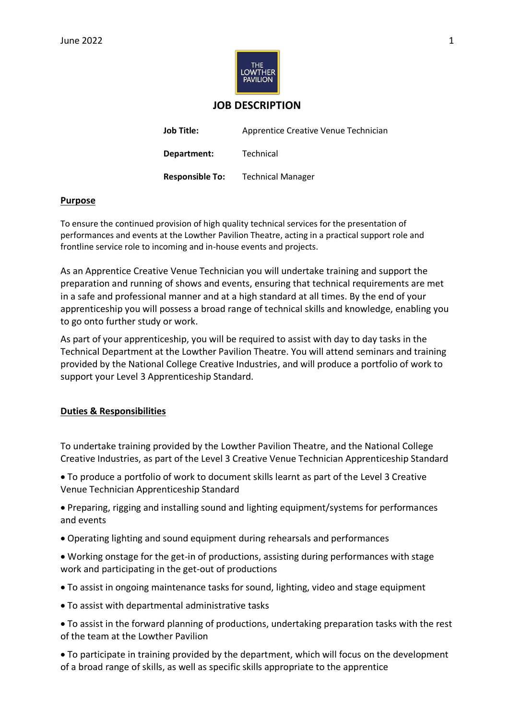

# **JOB DESCRIPTION**

| <b>Job Title:</b>      | Apprentice Creative Venue Technician |
|------------------------|--------------------------------------|
| Department:            | Technical                            |
| <b>Responsible To:</b> | <b>Technical Manager</b>             |

## **Purpose**

To ensure the continued provision of high quality technical services for the presentation of performances and events at the Lowther Pavilion Theatre, acting in a practical support role and frontline service role to incoming and in-house events and projects.

As an Apprentice Creative Venue Technician you will undertake training and support the preparation and running of shows and events, ensuring that technical requirements are met in a safe and professional manner and at a high standard at all times. By the end of your apprenticeship you will possess a broad range of technical skills and knowledge, enabling you to go onto further study or work.

As part of your apprenticeship, you will be required to assist with day to day tasks in the Technical Department at the Lowther Pavilion Theatre. You will attend seminars and training provided by the National College Creative Industries, and will produce a portfolio of work to support your Level 3 Apprenticeship Standard.

## **Duties & Responsibilities**

To undertake training provided by the Lowther Pavilion Theatre, and the National College Creative Industries, as part of the Level 3 Creative Venue Technician Apprenticeship Standard

• To produce a portfolio of work to document skills learnt as part of the Level 3 Creative Venue Technician Apprenticeship Standard

• Preparing, rigging and installing sound and lighting equipment/systems for performances and events

- Operating lighting and sound equipment during rehearsals and performances
- Working onstage for the get-in of productions, assisting during performances with stage work and participating in the get-out of productions
- To assist in ongoing maintenance tasks for sound, lighting, video and stage equipment
- To assist with departmental administrative tasks

• To assist in the forward planning of productions, undertaking preparation tasks with the rest of the team at the Lowther Pavilion

• To participate in training provided by the department, which will focus on the development of a broad range of skills, as well as specific skills appropriate to the apprentice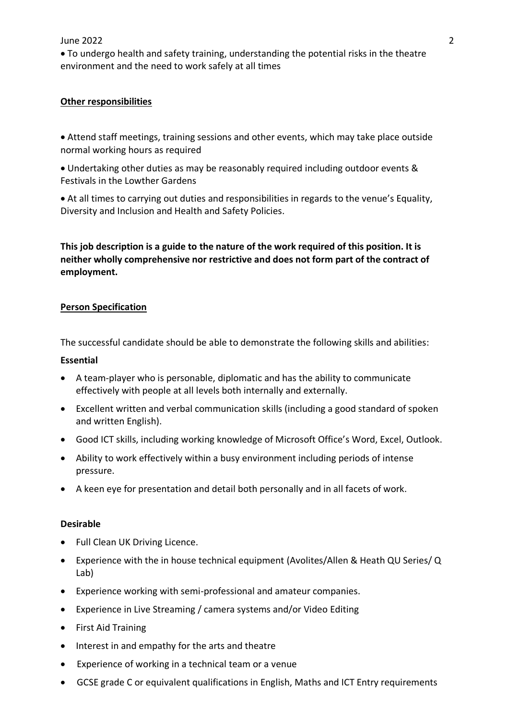# June 2022 2

• To undergo health and safety training, understanding the potential risks in the theatre environment and the need to work safely at all times

### **Other responsibilities**

• Attend staff meetings, training sessions and other events, which may take place outside normal working hours as required

• Undertaking other duties as may be reasonably required including outdoor events & Festivals in the Lowther Gardens

• At all times to carrying out duties and responsibilities in regards to the venue's Equality, Diversity and Inclusion and Health and Safety Policies.

**This job description is a guide to the nature of the work required of this position. It is neither wholly comprehensive nor restrictive and does not form part of the contract of employment.** 

### **Person Specification**

The successful candidate should be able to demonstrate the following skills and abilities:

### **Essential**

- A team-player who is personable, diplomatic and has the ability to communicate effectively with people at all levels both internally and externally.
- Excellent written and verbal communication skills (including a good standard of spoken and written English).
- Good ICT skills, including working knowledge of Microsoft Office's Word, Excel, Outlook.
- Ability to work effectively within a busy environment including periods of intense pressure.
- A keen eye for presentation and detail both personally and in all facets of work.

### **Desirable**

- Full Clean UK Driving Licence.
- Experience with the in house technical equipment (Avolites/Allen & Heath QU Series/ Q Lab)
- Experience working with semi-professional and amateur companies.
- Experience in Live Streaming / camera systems and/or Video Editing
- First Aid Training
- Interest in and empathy for the arts and theatre
- Experience of working in a technical team or a venue
- GCSE grade C or equivalent qualifications in English, Maths and ICT Entry requirements